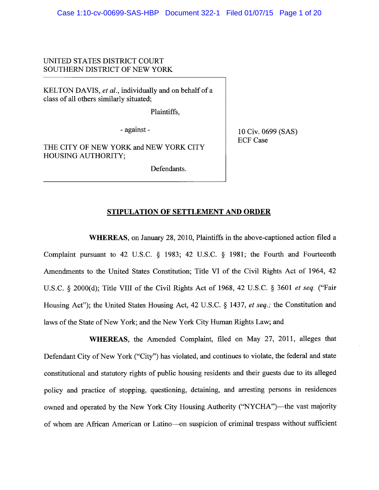# UNITED STATES DISTRICT COURT SOUTHERN DISTRICT OF NEW YORK

KELTON DAVIS, et al., individually and on behalf of a class of all others similarly situated;

Plaintiffs,

- against -

THE CITY OF NEW YORK and NEW YORK CITY **HOUSING AUTHORITY;** 

Defendants.

10 Civ. 0699 (SAS) **ECF Case** 

### STIPULATION OF SETTLEMENT AND ORDER

WHEREAS, on January 28, 2010, Plaintiffs in the above-captioned action filed a Complaint pursuant to 42 U.S.C. § 1983; 42 U.S.C. § 1981; the Fourth and Fourteenth Amendments to the United States Constitution; Title VI of the Civil Rights Act of 1964, 42 U.S.C. § 2000(d); Title VIII of the Civil Rights Act of 1968, 42 U.S.C. § 3601 et seq. ("Fair Housing Act"); the United States Housing Act, 42 U.S.C. § 1437, et seq.; the Constitution and laws of the State of New York; and the New York City Human Rights Law; and

WHEREAS, the Amended Complaint, filed on May 27, 2011, alleges that Defendant City of New York ("City") has violated, and continues to violate, the federal and state constitutional and statutory rights of public housing residents and their guests due to its alleged policy and practice of stopping, questioning, detaining, and arresting persons in residences owned and operated by the New York City Housing Authority ("NYCHA")—the vast majority of whom are African American or Latino-on suspicion of criminal trespass without sufficient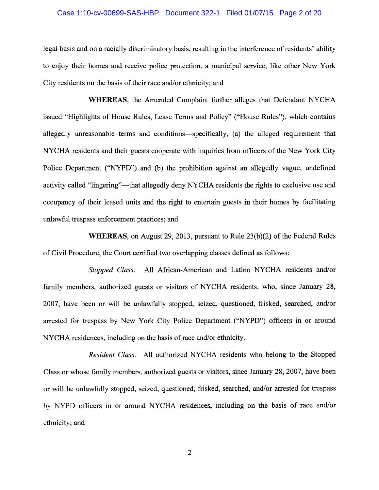# Case 1:10-cv-00699-SAS-HBP Document 322-1 Filed 01/07/15 Page 2 of 20

legal basis and on a racially discriminatory basis, resulting in the interference of residents' ability to enjoy their homes and receive police protection, a municipal service, like other New York City residents on the basis of their race and/or ethnicity; and

WHEREAS, the Amended Complaint further alleges that Defendant NYCHA issued "Highlights of House Rules, Lease Terms and Policy" ("House Rules"), which contains allegedly unreasonable terms and conditions—specifically, (a) the alleged requirement that NYCHA residents and their guests cooperate with inquiries from officers of the New York City Police Department ("NYPD") and (b) the prohibition against an allegedly vague, undefined activity called "lingering"—that allegedly deny NYCHA residents the rights to exclusive use and occupancy of their leased units and the right to entertain guests in their homes by facilitating unlawful trespass enforcement practices; and

WHEREAS, on August 29, 2013, pursuant to Rule 23(b)(2) of the Federal Rules of Civil Procedure, the Court certified two overlapping classes defined as follows:

Stopped Class: All African-American and Latino NYCHA residents and/or family members, authorized guests or visitors of NYCHA residents, who, since January 28, 2007, have been or will be unlawfully stopped, seized, questioned, frisked, searched, and/or arrested for trespass by New York City Police Department ("NYPD") officers in or around NYCHA residences, including on the basis of race and/or ethnicity.

Resident Class: All authorized NYCHA residents who belong to the Stopped Class or whose family members, authorized guests or visitors, since January 28, 2007, have been or will be unlawfully stopped, seized, questioned, frisked, searched, and/or arrested for trespass by NYPD officers in or around NYCHA residences, including on the basis of race and/or ethnicity; and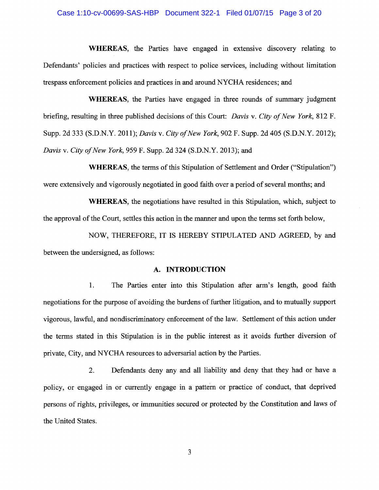### Case 1:10-cv-00699-SAS-HBP Document 322-1 Filed 01/07/15 Page 3 of 20

WHEREAS, the Parties have engaged in extensive discovery relating to Defendants' policies and practices with respect to police services, including without limitation trespass enforcement policies and practices in and around NYCHA residences; and

**WHEREAS**, the Parties have engaged in three rounds of summary judgment briefing, resulting in three published decisions of this Court: Davis v. City of New York, 812 F. Supp. 2d 333 (S.D.N.Y. 2011); *Davis v. City of New York*, 902 F. Supp. 2d 405 (S.D.N.Y. 2012); Davis v. City of New York, 959 F. Supp. 2d 324 (S.D.N.Y. 2013); and

**WHEREAS**, the terms of this Stipulation of Settlement and Order ("Stipulation") were extensively and vigorously negotiated in good faith over a period of several months; and

**WHEREAS**, the negotiations have resulted in this Stipulation, which, subject to the approval of the Court, settles this action in the manner and upon the terms set forth below,

NOW, THEREFORE, IT IS HEREBY STIPULATED AND AGREED, by and between the undersigned, as follows:

### A. INTRODUCTION

The Parties enter into this Stipulation after arm's length, good faith 1. negotiations for the purpose of avoiding the burdens of further litigation, and to mutually support vigorous, lawful, and nondiscriminatory enforcement of the law. Settlement of this action under the terms stated in this Stipulation is in the public interest as it avoids further diversion of private, City, and NYCHA resources to adversarial action by the Parties.

Defendants deny any and all liability and deny that they had or have a  $2.$ policy, or engaged in or currently engage in a pattern or practice of conduct, that deprived persons of rights, privileges, or immunities secured or protected by the Constitution and laws of the United States.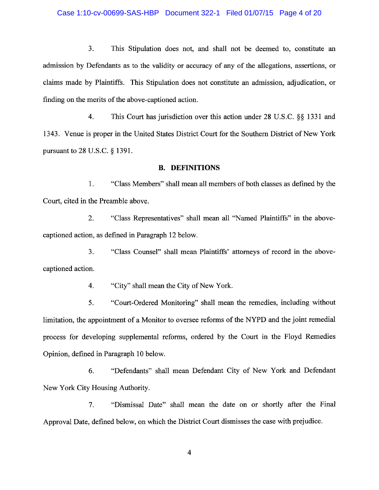### Case 1:10-cv-00699-SAS-HBP Document 322-1 Filed 01/07/15 Page 4 of 20

3. This Stipulation does not, and shall not be deemed to, constitute an admission by Defendants as to the validity or accuracy of any of the allegations, assertions, or claims made by Plaintiffs. This Stipulation does not constitute an admission, adjudication, or finding on the merits of the above-captioned action.

 $4.$ This Court has jurisdiction over this action under 28 U.S.C. §§ 1331 and 1343. Venue is proper in the United States District Court for the Southern District of New York pursuant to 28 U.S.C. § 1391.

### **B. DEFINITIONS**

1. "Class Members" shall mean all members of both classes as defined by the Court, cited in the Preamble above.

"Class Representatives" shall mean all "Named Plaintiffs" in the above- $\overline{2}$ . captioned action, as defined in Paragraph 12 below.

3. "Class Counsel" shall mean Plaintiffs' attorneys of record in the abovecaptioned action.

> $4.$ "City" shall mean the City of New York.

"Court-Ordered Monitoring" shall mean the remedies, including without 5. limitation, the appointment of a Monitor to oversee reforms of the NYPD and the joint remedial process for developing supplemental reforms, ordered by the Court in the Floyd Remedies Opinion, defined in Paragraph 10 below.

"Defendants" shall mean Defendant City of New York and Defendant 6. New York City Housing Authority.

7. "Dismissal Date" shall mean the date on or shortly after the Final Approval Date, defined below, on which the District Court dismisses the case with prejudice.

 $\overline{\mathbf{4}}$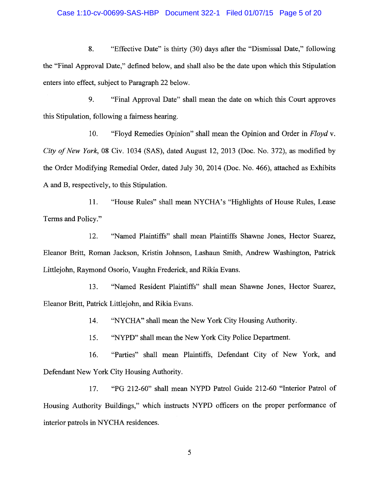#### Case 1:10-cv-00699-SAS-HBP Document 322-1 Filed 01/07/15 Page 5 of 20

8. "Effective Date" is thirty (30) days after the "Dismissal Date," following the "Final Approval Date," defined below, and shall also be the date upon which this Stipulation enters into effect, subject to Paragraph 22 below.

9. "Final Approval Date" shall mean the date on which this Court approves this Stipulation, following a fairness hearing.

10. "Floyd Remedies Opinion" shall mean the Opinion and Order in Floyd v. City of New York, 08 Civ. 1034 (SAS), dated August 12, 2013 (Doc. No. 372), as modified by the Order Modifying Remedial Order, dated July 30, 2014 (Doc. No. 466), attached as Exhibits A and B, respectively, to this Stipulation.

"House Rules" shall mean NYCHA's "Highlights of House Rules, Lease 11. Terms and Policy."

"Named Plaintiffs" shall mean Plaintiffs Shawne Jones, Hector Suarez, 12. Eleanor Britt, Roman Jackson, Kristin Johnson, Lashaun Smith, Andrew Washington, Patrick Littlejohn, Raymond Osorio, Vaughn Frederick, and Rikia Evans.

"Named Resident Plaintiffs" shall mean Shawne Jones, Hector Suarez, 13. Eleanor Britt, Patrick Littlejohn, and Rikia Evans.

> "NYCHA" shall mean the New York City Housing Authority. 14.

"NYPD" shall mean the New York City Police Department. 15.

"Parties" shall mean Plaintiffs, Defendant City of New York, and 16. Defendant New York City Housing Authority.

"PG 212-60" shall mean NYPD Patrol Guide 212-60 "Interior Patrol of 17. Housing Authority Buildings," which instructs NYPD officers on the proper performance of interior patrols in NYCHA residences.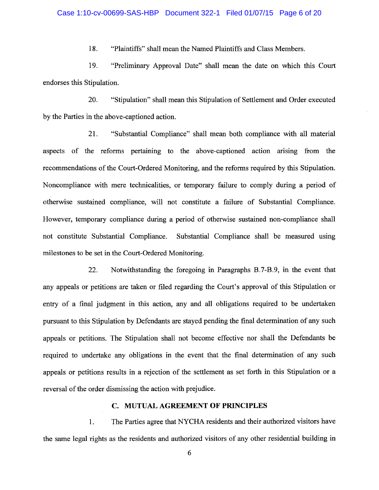### Case 1:10-cv-00699-SAS-HBP Document 322-1 Filed 01/07/15 Page 6 of 20

18. "Plaintiffs" shall mean the Named Plaintiffs and Class Members.

19. "Preliminary Approval Date" shall mean the date on which this Court endorses this Stipulation.

20. "Stipulation" shall mean this Stipulation of Settlement and Order executed by the Parties in the above-captioned action.

21. "Substantial Compliance" shall mean both compliance with all material aspects of the reforms pertaining to the above-captioned action arising from the recommendations of the Court-Ordered Monitoring, and the reforms required by this Stipulation. Noncompliance with mere technicalities, or temporary failure to comply during a period of otherwise sustained compliance, will not constitute a failure of Substantial Compliance. However, temporary compliance during a period of otherwise sustained non-compliance shall not constitute Substantial Compliance. Substantial Compliance shall be measured using milestones to be set in the Court-Ordered Monitoring.

22. Notwithstanding the foregoing in Paragraphs B.7-B.9, in the event that any appeals or petitions are taken or filed regarding the Court's approval of this Stipulation or entry of a final judgment in this action, any and all obligations required to be undertaken pursuant to this Stipulation by Defendants are stayed pending the final determination of any such appeals or petitions. The Stipulation shall not become effective nor shall the Defendants be required to undertake any obligations in the event that the final determination of any such appeals or petitions results in a rejection of the settlement as set forth in this Stipulation or a reversal of the order dismissing the action with prejudice.

# C. MUTUAL AGREEMENT OF PRINCIPLES

The Parties agree that NYCHA residents and their authorized visitors have 1. the same legal rights as the residents and authorized visitors of any other residential building in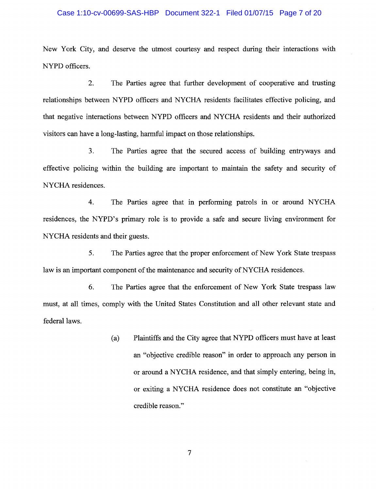### Case 1:10-cv-00699-SAS-HBP Document 322-1 Filed 01/07/15 Page 7 of 20

New York City, and deserve the utmost courtesy and respect during their interactions with NYPD officers.

 $\overline{2}$ . The Parties agree that further development of cooperative and trusting relationships between NYPD officers and NYCHA residents facilitates effective policing, and that negative interactions between NYPD officers and NYCHA residents and their authorized visitors can have a long-lasting, harmful impact on those relationships.

 $3<sub>1</sub>$ The Parties agree that the secured access of building entryways and effective policing within the building are important to maintain the safety and security of NYCHA residences.

4. The Parties agree that in performing patrols in or around NYCHA residences, the NYPD's primary role is to provide a safe and secure living environment for NYCHA residents and their guests.

5. The Parties agree that the proper enforcement of New York State trespass law is an important component of the maintenance and security of NYCHA residences.

6. The Parties agree that the enforcement of New York State trespass law must, at all times, comply with the United States Constitution and all other relevant state and federal laws.

> Plaintiffs and the City agree that NYPD officers must have at least  $(a)$ an "objective credible reason" in order to approach any person in or around a NYCHA residence, and that simply entering, being in, or exiting a NYCHA residence does not constitute an "objective" credible reason."

> > $\overline{7}$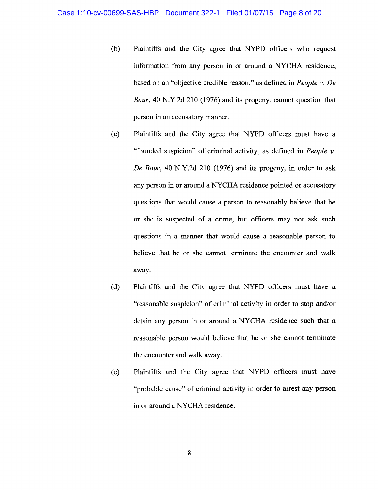- Plaintiffs and the City agree that NYPD officers who request  $(b)$ information from any person in or around a NYCHA residence, based on an "objective credible reason," as defined in People v. De *Bour*, 40 N.Y.2d 210 (1976) and its progeny, cannot question that person in an accusatory manner.
- Plaintiffs and the City agree that NYPD officers must have a  $(c)$ "founded suspicion" of criminal activity, as defined in *People v*. De Bour, 40 N.Y.2d 210 (1976) and its progeny, in order to ask any person in or around a NYCHA residence pointed or accusatory questions that would cause a person to reasonably believe that he or she is suspected of a crime, but officers may not ask such questions in a manner that would cause a reasonable person to believe that he or she cannot terminate the encounter and walk away.
- Plaintiffs and the City agree that NYPD officers must have a  $(d)$ "reasonable suspicion" of criminal activity in order to stop and/or detain any person in or around a NYCHA residence such that a reasonable person would believe that he or she cannot terminate the encounter and walk away.
- Plaintiffs and the City agree that NYPD officers must have  $(e)$ "probable cause" of criminal activity in order to arrest any person in or around a NYCHA residence.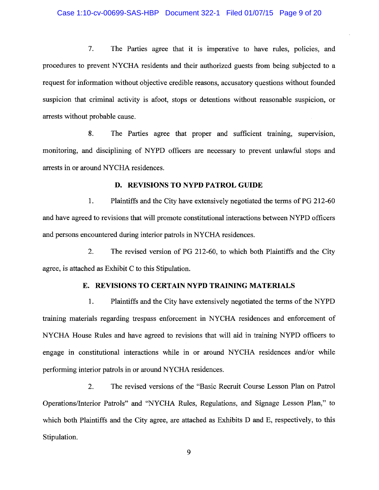### Case 1:10-cv-00699-SAS-HBP Document 322-1 Filed 01/07/15 Page 9 of 20

 $7.$ The Parties agree that it is imperative to have rules, policies, and procedures to prevent NYCHA residents and their authorized guests from being subjected to a request for information without objective credible reasons, accusatory questions without founded suspicion that criminal activity is afoot, stops or detentions without reasonable suspicion, or arrests without probable cause.

8. The Parties agree that proper and sufficient training, supervision, monitoring, and disciplining of NYPD officers are necessary to prevent unlawful stops and arrests in or around NYCHA residences.

### D. REVISIONS TO NYPD PATROL GUIDE

1. Plaintiffs and the City have extensively negotiated the terms of PG 212-60 and have agreed to revisions that will promote constitutional interactions between NYPD officers and persons encountered during interior patrols in NYCHA residences.

 $2.$ The revised version of PG 212-60, to which both Plaintiffs and the City agree, is attached as Exhibit C to this Stipulation.

# E. REVISIONS TO CERTAIN NYPD TRAINING MATERIALS

1. Plaintiffs and the City have extensively negotiated the terms of the NYPD training materials regarding trespass enforcement in NYCHA residences and enforcement of NYCHA House Rules and have agreed to revisions that will aid in training NYPD officers to engage in constitutional interactions while in or around NYCHA residences and/or while performing interior patrols in or around NYCHA residences.

The revised versions of the "Basic Recruit Course Lesson Plan on Patrol  $2.$ Operations/Interior Patrols" and "NYCHA Rules, Regulations, and Signage Lesson Plan," to which both Plaintiffs and the City agree, are attached as Exhibits D and E, respectively, to this Stipulation.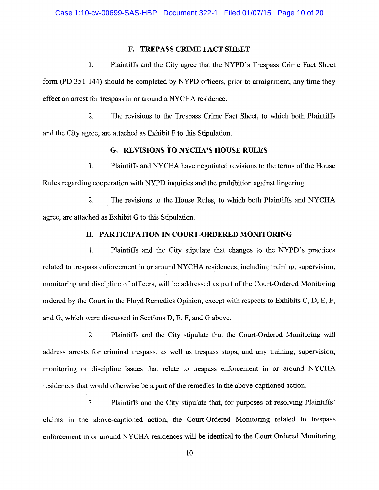# **F. TREPASS CRIME FACT SHEET**

 $\mathbf{1}$ . Plaintiffs and the City agree that the NYPD's Trespass Crime Fact Sheet form (PD 351-144) should be completed by NYPD officers, prior to arraignment, any time they effect an arrest for trespass in or around a NYCHA residence.

 $2.$ The revisions to the Trespass Crime Fact Sheet, to which both Plaintiffs and the City agree, are attached as Exhibit F to this Stipulation.

# G. REVISIONS TO NYCHA'S HOUSE RULES

 $1.$ Plaintiffs and NYCHA have negotiated revisions to the terms of the House Rules regarding cooperation with NYPD inquiries and the prohibition against lingering.

 $2.$ The revisions to the House Rules, to which both Plaintiffs and NYCHA agree, are attached as Exhibit G to this Stipulation.

## H. PARTICIPATION IN COURT-ORDERED MONITORING

Plaintiffs and the City stipulate that changes to the NYPD's practices  $1<sub>1</sub>$ related to trespass enforcement in or around NYCHA residences, including training, supervision, monitoring and discipline of officers, will be addressed as part of the Court-Ordered Monitoring ordered by the Court in the Floyd Remedies Opinion, except with respects to Exhibits C, D, E, F, and G, which were discussed in Sections D, E, F, and G above.

 $\overline{2}$ . Plaintiffs and the City stipulate that the Court-Ordered Monitoring will address arrests for criminal trespass, as well as trespass stops, and any training, supervision, monitoring or discipline issues that relate to trespass enforcement in or around NYCHA residences that would otherwise be a part of the remedies in the above-captioned action.

Plaintiffs and the City stipulate that, for purposes of resolving Plaintiffs'  $\overline{3}$ . claims in the above-captioned action, the Court-Ordered Monitoring related to trespass enforcement in or around NYCHA residences will be identical to the Court Ordered Monitoring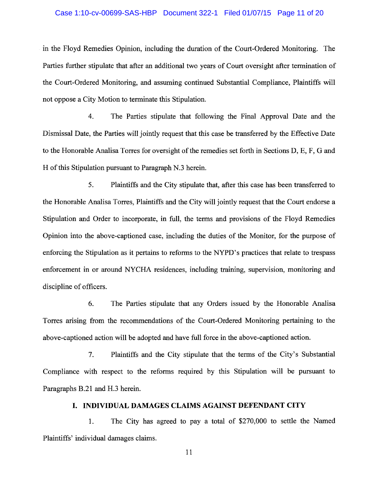#### Case 1:10-cv-00699-SAS-HBP Document 322-1 Filed 01/07/15 Page 11 of 20

in the Floyd Remedies Opinion, including the duration of the Court-Ordered Monitoring. The Parties further stipulate that after an additional two years of Court oversight after termination of the Court-Ordered Monitoring, and assuming continued Substantial Compliance, Plaintiffs will not oppose a City Motion to terminate this Stipulation.

4. The Parties stipulate that following the Final Approval Date and the Dismissal Date, the Parties will jointly request that this case be transferred by the Effective Date to the Honorable Analisa Torres for oversight of the remedies set forth in Sections D, E, F, G and H of this Stipulation pursuant to Paragraph N.3 herein.

5. Plaintiffs and the City stipulate that, after this case has been transferred to the Honorable Analisa Torres, Plaintiffs and the City will jointly request that the Court endorse a Stipulation and Order to incorporate, in full, the terms and provisions of the Floyd Remedies Opinion into the above-captioned case, including the duties of the Monitor, for the purpose of enforcing the Stipulation as it pertains to reforms to the NYPD's practices that relate to trespass enforcement in or around NYCHA residences, including training, supervision, monitoring and discipline of officers.

6. The Parties stipulate that any Orders issued by the Honorable Analisa Torres arising from the recommendations of the Court-Ordered Monitoring pertaining to the above-captioned action will be adopted and have full force in the above-captioned action.

Plaintiffs and the City stipulate that the terms of the City's Substantial 7. Compliance with respect to the reforms required by this Stipulation will be pursuant to Paragraphs B.21 and H.3 herein.

# I. INDIVIDUAL DAMAGES CLAIMS AGAINST DEFENDANT CITY

1. The City has agreed to pay a total of \$270,000 to settle the Named Plaintiffs' individual damages claims.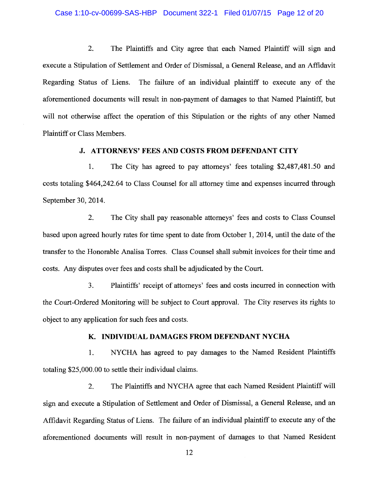# Case 1:10-cv-00699-SAS-HBP Document 322-1 Filed 01/07/15 Page 12 of 20

2. The Plaintiffs and City agree that each Named Plaintiff will sign and execute a Stipulation of Settlement and Order of Dismissal, a General Release, and an Affidavit Regarding Status of Liens. The failure of an individual plaintiff to execute any of the aforementioned documents will result in non-payment of damages to that Named Plaintiff, but will not otherwise affect the operation of this Stipulation or the rights of any other Named Plaintiff or Class Members.

### **J. ATTORNEYS' FEES AND COSTS FROM DEFENDANT CITY**

1. The City has agreed to pay attorneys' fees totaling \$2,487,481.50 and costs totaling \$464,242.64 to Class Counsel for all attorney time and expenses incurred through September 30, 2014.

 $2.$ The City shall pay reasonable attorneys' fees and costs to Class Counsel based upon agreed hourly rates for time spent to date from October 1, 2014, until the date of the transfer to the Honorable Analisa Torres. Class Counsel shall submit invoices for their time and costs. Any disputes over fees and costs shall be adjudicated by the Court.

Plaintiffs' receipt of attorneys' fees and costs incurred in connection with 3. the Court-Ordered Monitoring will be subject to Court approval. The City reserves its rights to object to any application for such fees and costs.

# K. INDIVIDUAL DAMAGES FROM DEFENDANT NYCHA

NYCHA has agreed to pay damages to the Named Resident Plaintiffs 1. totaling \$25,000.00 to settle their individual claims.

The Plaintiffs and NYCHA agree that each Named Resident Plaintiff will 2. sign and execute a Stipulation of Settlement and Order of Dismissal, a General Release, and an Affidavit Regarding Status of Liens. The failure of an individual plaintiff to execute any of the aforementioned documents will result in non-payment of damages to that Named Resident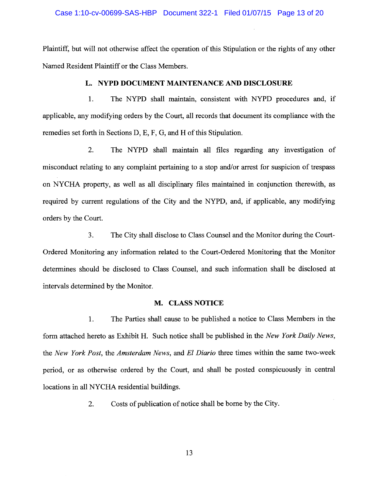# Case 1:10-cv-00699-SAS-HBP Document 322-1 Filed 01/07/15 Page 13 of 20

Plaintiff, but will not otherwise affect the operation of this Stipulation or the rights of any other Named Resident Plaintiff or the Class Members.

# L. NYPD DOCUMENT MAINTENANCE AND DISCLOSURE

 $1<sub>1</sub>$ The NYPD shall maintain, consistent with NYPD procedures and, if applicable, any modifying orders by the Court, all records that document its compliance with the remedies set forth in Sections D, E, F, G, and H of this Stipulation.

2. The NYPD shall maintain all files regarding any investigation of misconduct relating to any complaint pertaining to a stop and/or arrest for suspicion of trespass on NYCHA property, as well as all disciplinary files maintained in conjunction therewith, as required by current regulations of the City and the NYPD, and, if applicable, any modifying orders by the Court.

 $3<sub>1</sub>$ The City shall disclose to Class Counsel and the Monitor during the Court-Ordered Monitoring any information related to the Court-Ordered Monitoring that the Monitor determines should be disclosed to Class Counsel, and such information shall be disclosed at intervals determined by the Monitor.

# M. CLASS NOTICE

1. The Parties shall cause to be published a notice to Class Members in the form attached hereto as Exhibit H. Such notice shall be published in the New York Daily News, the New York Post, the Amsterdam News, and El Diario three times within the same two-week period, or as otherwise ordered by the Court, and shall be posted conspicuously in central locations in all NYCHA residential buildings.

> Costs of publication of notice shall be borne by the City. 2.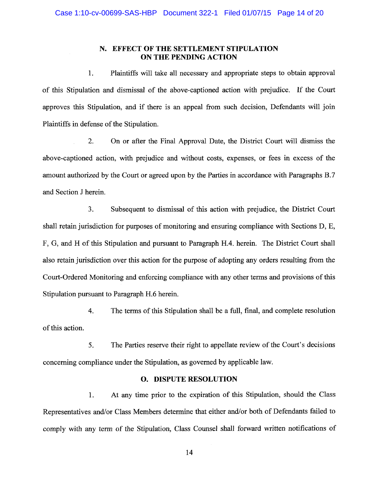### N. EFFECT OF THE SETTLEMENT STIPULATION ON THE PENDING ACTION

Plaintiffs will take all necessary and appropriate steps to obtain approval  $1.$ of this Stipulation and dismissal of the above-captioned action with prejudice. If the Court approves this Stipulation, and if there is an appeal from such decision, Defendants will join Plaintiffs in defense of the Stipulation.

 $\overline{2}$ . On or after the Final Approval Date, the District Court will dismiss the above-captioned action, with prejudice and without costs, expenses, or fees in excess of the amount authorized by the Court or agreed upon by the Parties in accordance with Paragraphs B.7 and Section J herein.

 $3<sub>1</sub>$ Subsequent to dismissal of this action with prejudice, the District Court shall retain jurisdiction for purposes of monitoring and ensuring compliance with Sections D, E, F, G, and H of this Stipulation and pursuant to Paragraph H.4. herein. The District Court shall also retain jurisdiction over this action for the purpose of adopting any orders resulting from the Court-Ordered Monitoring and enforcing compliance with any other terms and provisions of this Stipulation pursuant to Paragraph H.6 herein.

 $4.$ The terms of this Stipulation shall be a full, final, and complete resolution of this action.

The Parties reserve their right to appellate review of the Court's decisions 5. concerning compliance under the Stipulation, as governed by applicable law.

# **O. DISPUTE RESOLUTION**

 $1.$ At any time prior to the expiration of this Stipulation, should the Class Representatives and/or Class Members determine that either and/or both of Defendants failed to comply with any term of the Stipulation, Class Counsel shall forward written notifications of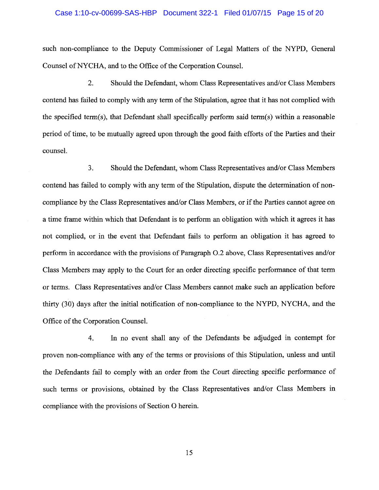# Case 1:10-cv-00699-SAS-HBP Document 322-1 Filed 01/07/15 Page 15 of 20

such non-compliance to the Deputy Commissioner of Legal Matters of the NYPD, General Counsel of NYCHA, and to the Office of the Corporation Counsel.

 $2.$ Should the Defendant, whom Class Representatives and/or Class Members contend has failed to comply with any term of the Stipulation, agree that it has not complied with the specified term(s), that Defendant shall specifically perform said term(s) within a reasonable period of time, to be mutually agreed upon through the good faith efforts of the Parties and their counsel.

 $3<sub>1</sub>$ Should the Defendant, whom Class Representatives and/or Class Members contend has failed to comply with any term of the Stipulation, dispute the determination of noncompliance by the Class Representatives and/or Class Members, or if the Parties cannot agree on a time frame within which that Defendant is to perform an obligation with which it agrees it has not complied, or in the event that Defendant fails to perform an obligation it has agreed to perform in accordance with the provisions of Paragraph O.2 above, Class Representatives and/or Class Members may apply to the Court for an order directing specific performance of that term or terms. Class Representatives and/or Class Members cannot make such an application before thirty (30) days after the initial notification of non-compliance to the NYPD, NYCHA, and the Office of the Corporation Counsel.

In no event shall any of the Defendants be adjudged in contempt for 4. proven non-compliance with any of the terms or provisions of this Stipulation, unless and until the Defendants fail to comply with an order from the Court directing specific performance of such terms or provisions, obtained by the Class Representatives and/or Class Members in compliance with the provisions of Section O herein.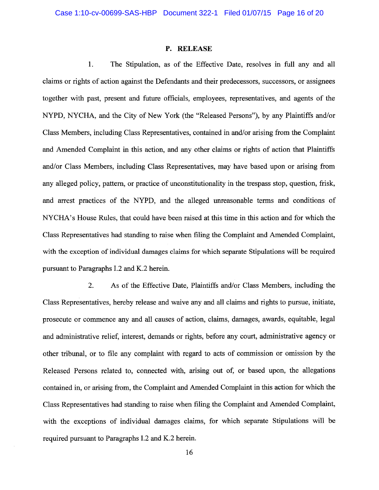#### P. RELEASE

1. The Stipulation, as of the Effective Date, resolves in full any and all claims or rights of action against the Defendants and their predecessors, successors, or assignees together with past, present and future officials, employees, representatives, and agents of the NYPD, NYCHA, and the City of New York (the "Released Persons"), by any Plaintiffs and/or Class Members, including Class Representatives, contained in and/or arising from the Complaint and Amended Complaint in this action, and any other claims or rights of action that Plaintiffs and/or Class Members, including Class Representatives, may have based upon or arising from any alleged policy, pattern, or practice of unconstitutionality in the trespass stop, question, frisk, and arrest practices of the NYPD, and the alleged unreasonable terms and conditions of NYCHA's House Rules, that could have been raised at this time in this action and for which the Class Representatives had standing to raise when filing the Complaint and Amended Complaint, with the exception of individual damages claims for which separate Stipulations will be required pursuant to Paragraphs I.2 and K.2 herein.

2. As of the Effective Date, Plaintiffs and/or Class Members, including the Class Representatives, hereby release and waive any and all claims and rights to pursue, initiate, prosecute or commence any and all causes of action, claims, damages, awards, equitable, legal and administrative relief, interest, demands or rights, before any court, administrative agency or other tribunal, or to file any complaint with regard to acts of commission or omission by the Released Persons related to, connected with, arising out of, or based upon, the allegations contained in, or arising from, the Complaint and Amended Complaint in this action for which the Class Representatives had standing to raise when filing the Complaint and Amended Complaint, with the exceptions of individual damages claims, for which separate Stipulations will be required pursuant to Paragraphs I.2 and K.2 herein.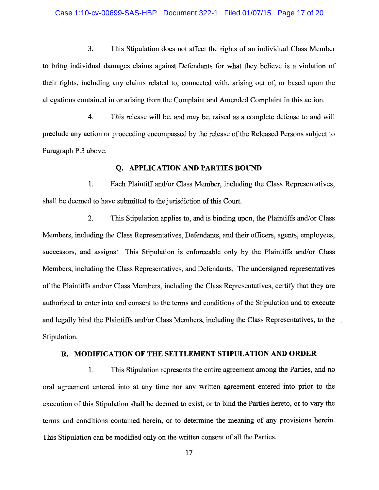#### Case 1:10-cv-00699-SAS-HBP Document 322-1 Filed 01/07/15 Page 17 of 20

 $3.$ This Stipulation does not affect the rights of an individual Class Member to bring individual damages claims against Defendants for what they believe is a violation of their rights, including any claims related to, connected with, arising out of, or based upon the allegations contained in or arising from the Complaint and Amended Complaint in this action.

 $4.$ This release will be, and may be, raised as a complete defense to and will preclude any action or proceeding encompassed by the release of the Released Persons subject to Paragraph P.3 above.

## **O. APPLICATION AND PARTIES BOUND**

1. Each Plaintiff and/or Class Member, including the Class Representatives, shall be deemed to have submitted to the jurisdiction of this Court.

 $2.$ This Stipulation applies to, and is binding upon, the Plaintiffs and/or Class Members, including the Class Representatives, Defendants, and their officers, agents, employees, successors, and assigns. This Stipulation is enforceable only by the Plaintiffs and/or Class Members, including the Class Representatives, and Defendants. The undersigned representatives of the Plaintiffs and/or Class Members, including the Class Representatives, certify that they are authorized to enter into and consent to the terms and conditions of the Stipulation and to execute and legally bind the Plaintiffs and/or Class Members, including the Class Representatives, to the Stipulation.

### R. MODIFICATION OF THE SETTLEMENT STIPULATION AND ORDER

1. This Stipulation represents the entire agreement among the Parties, and no oral agreement entered into at any time nor any written agreement entered into prior to the execution of this Stipulation shall be deemed to exist, or to bind the Parties hereto, or to vary the terms and conditions contained herein, or to determine the meaning of any provisions herein. This Stipulation can be modified only on the written consent of all the Parties.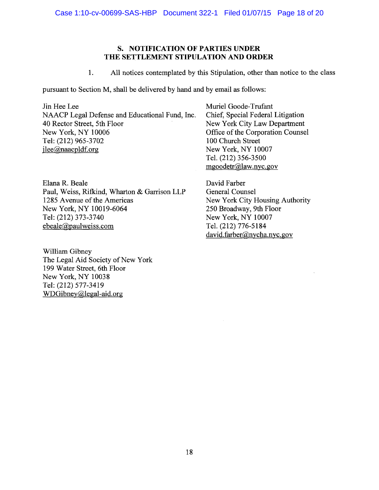# S. NOTIFICATION OF PARTIES UNDER THE SETTLEMENT STIPULATION AND ORDER

 $1.$ All notices contemplated by this Stipulation, other than notice to the class

pursuant to Section M, shall be delivered by hand and by email as follows:

Jin Hee Lee NAACP Legal Defense and Educational Fund, Inc. 40 Rector Street, 5th Floor New York, NY 10006 Tel: (212) 965-3702  $ilee(\partial_{0})$ naacpldf.org

Elana R. Beale Paul, Weiss, Rifkind, Wharton & Garrison LLP 1285 Avenue of the Americas New York, NY 10019-6064 Tel: (212) 373-3740 ebeale@paulweiss.com

William Gibney The Legal Aid Society of New York 199 Water Street, 6th Floor New York, NY 10038 Tel: (212) 577-3419 WDGibney@legal-aid.org

Muriel Goode-Trufant Chief, Special Federal Litigation New York City Law Department Office of the Corporation Counsel 100 Church Street New York, NY 10007 Tel. (212) 356-3500 mgoodetr@law.nyc.gov

David Farber **General Counsel** New York City Housing Authority 250 Broadway, 9th Floor New York, NY 10007 Tel. (212) 776-5184 david.farber@nycha.nyc.gov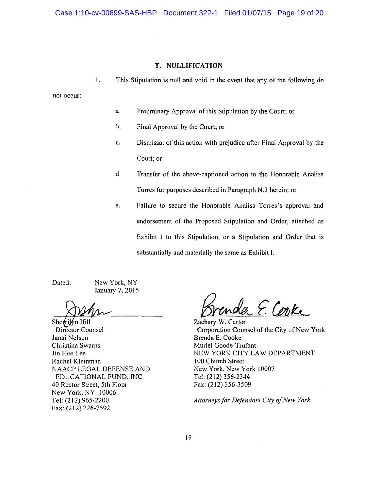Case 1:10-cv-00699-SAS-HBP Document 322-1 Filed 01/07/15 Page 19 of 20

### T. NULLIFICATION

 $\mathfrak{t}$ . This Stipulation is null and void in the event that any of the following do

not occur:

- a. Preliminary Approval of this Stipulation by the Court; or
- b. Final Approval by the Court; or
- Dismissal of this action with prejudice after Final Approval by the  $\mathbf{c}$ . Court; or
- d. Transfer of the above-captioned action to the Honorable Analisa Torres for purposes described in Paragraph N.3 herein; or
- Failure to secure the Honorable Analisa Torres's approval and  $e.$ endorsement of the Proposed Stipulation and Order, attached as Exhibit I to this Stipulation, or a Stipulation and Order that is substantially and materially the same as Exhibit I.

Dated:

New York, NY January 7, 2015

Sherrilyn Ifill Director Counsel Janai Nelson Christina Swarns Jin Hee Lee Rachel Kleinman NAACP LEGAL DEFENSE AND EDUCATIONAL FUND, INC. 40 Rector Street, 5th Floor New York, NY 10006 Tel: (212) 965-2200 Fax: (212) 226-7592

da E. Corke

Zachary W. Carter Corporation Counsel of the City of New York Brenda E. Cooke Muriel Goode-Trufant NEW YORK CITY LAW DEPARTMENT 100 Church Street New York, New York 10007 Tel: (212) 356-2344 Fax: (212) 356-3509

Attorneys for Defendant City of New York